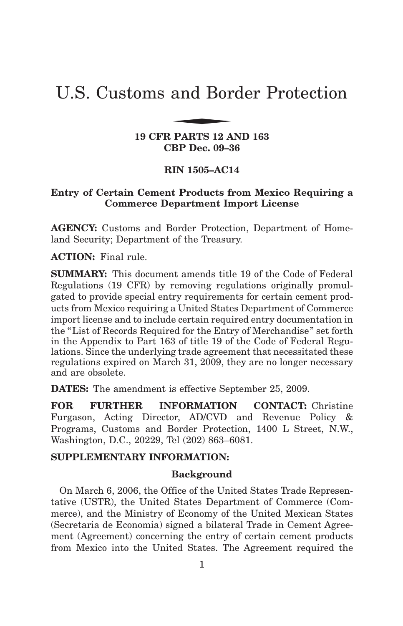# U.S. Customs and Border Protection and Bor

**19 CFR PARTS 12 AND 163 CBP Dec. 09–36**

# **RIN 1505–AC14**

# **Entry of Certain Cement Products from Mexico Requiring a Commerce Department Import License**

**AGENCY:** Customs and Border Protection, Department of Homeland Security; Department of the Treasury.

**ACTION:** Final rule.

**SUMMARY:** This document amends title 19 of the Code of Federal Regulations (19 CFR) by removing regulations originally promulgated to provide special entry requirements for certain cement products from Mexico requiring a United States Department of Commerce import license and to include certain required entry documentation in the "List of Records Required for the Entry of Merchandise " set forth in the Appendix to Part 163 of title 19 of the Code of Federal Regulations. Since the underlying trade agreement that necessitated these regulations expired on March 31, 2009, they are no longer necessary and are obsolete.

**DATES:** The amendment is effective September 25, 2009.

**FOR FURTHER INFORMATION CONTACT:** Christine Furgason, Acting Director, AD/CVD and Revenue Policy & Programs, Customs and Border Protection, 1400 L Street, N.W., Washington, D.C., 20229, Tel (202) 863–6081.

#### **SUPPLEMENTARY INFORMATION:**

#### **Background**

On March 6, 2006, the Office of the United States Trade Representative (USTR), the United States Department of Commerce (Commerce), and the Ministry of Economy of the United Mexican States (Secretaria de Economia) signed a bilateral Trade in Cement Agreement (Agreement) concerning the entry of certain cement products from Mexico into the United States. The Agreement required the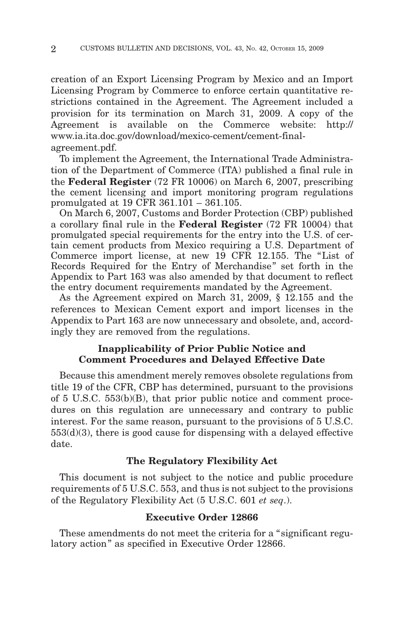creation of an Export Licensing Program by Mexico and an Import Licensing Program by Commerce to enforce certain quantitative restrictions contained in the Agreement. The Agreement included a provision for its termination on March 31, 2009. A copy of the Agreement is available on the Commerce website: http:// www.ia.ita.doc.gov/download/mexico-cement/cement-finalagreement.pdf.

To implement the Agreement, the International Trade Administration of the Department of Commerce (ITA) published a final rule in the **Federal Register** (72 FR 10006) on March 6, 2007, prescribing the cement licensing and import monitoring program regulations promulgated at 19 CFR 361.101 – 361.105.

On March 6, 2007, Customs and Border Protection (CBP) published a corollary final rule in the **Federal Register** (72 FR 10004) that promulgated special requirements for the entry into the U.S. of certain cement products from Mexico requiring a U.S. Department of Commerce import license, at new 19 CFR 12.155. The "List of Records Required for the Entry of Merchandise " set forth in the Appendix to Part 163 was also amended by that document to reflect the entry document requirements mandated by the Agreement.

As the Agreement expired on March 31, 2009, § 12.155 and the references to Mexican Cement export and import licenses in the Appendix to Part 163 are now unnecessary and obsolete, and, accordingly they are removed from the regulations.

# **Inapplicability of Prior Public Notice and Comment Procedures and Delayed Effective Date**

Because this amendment merely removes obsolete regulations from title 19 of the CFR, CBP has determined, pursuant to the provisions of 5 U.S.C. 553(b)(B), that prior public notice and comment procedures on this regulation are unnecessary and contrary to public interest. For the same reason, pursuant to the provisions of 5 U.S.C. 553(d)(3), there is good cause for dispensing with a delayed effective date.

# **The Regulatory Flexibility Act**

This document is not subject to the notice and public procedure requirements of 5 U.S.C. 553, and thus is not subject to the provisions of the Regulatory Flexibility Act (5 U.S.C. 601 *et seq*.).

# **Executive Order 12866**

These amendments do not meet the criteria for a "significant regulatory action" as specified in Executive Order 12866.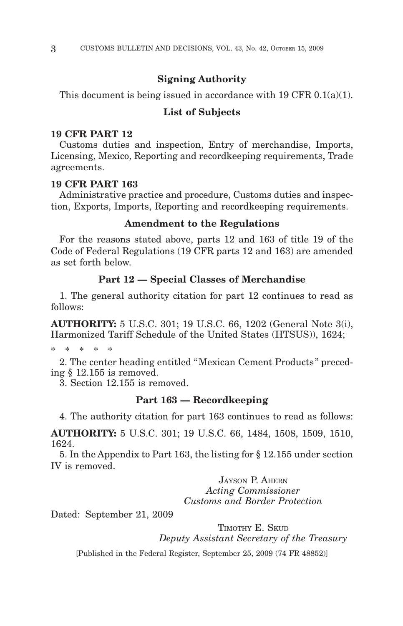## **Signing Authority**

This document is being issued in accordance with  $19 \text{ CFR } 0.1(a)(1)$ .

#### **List of Subjects**

#### **19 CFR PART 12**

Customs duties and inspection, Entry of merchandise, Imports, Licensing, Mexico, Reporting and recordkeeping requirements, Trade agreements.

# **19 CFR PART 163**

Administrative practice and procedure, Customs duties and inspection, Exports, Imports, Reporting and recordkeeping requirements.

#### **Amendment to the Regulations**

For the reasons stated above, parts 12 and 163 of title 19 of the Code of Federal Regulations (19 CFR parts 12 and 163) are amended as set forth below.

#### **Part 12 — Special Classes of Merchandise**

1. The general authority citation for part 12 continues to read as follows:

**AUTHORITY:** 5 U.S.C. 301; 19 U.S.C. 66, 1202 (General Note 3(i), Harmonized Tariff Schedule of the United States (HTSUS)), 1624;

 $*$  \*

2. The center heading entitled "Mexican Cement Products " preceding § 12.155 is removed.

3. Section 12.155 is removed.

# **Part 163 — Recordkeeping**

4. The authority citation for part 163 continues to read as follows:

**AUTHORITY:** 5 U.S.C. 301; 19 U.S.C. 66, 1484, 1508, 1509, 1510, 1624.

5. In the Appendix to Part 163, the listing for § 12.155 under section IV is removed.

> JAYSON P. AHERN *Acting Commissioner Customs and Border Protection*

Dated: September 21, 2009

TIMOTHY E. SKUD

*Deputy Assistant Secretary of the Treasury*

[Published in the Federal Register, September 25, 2009 (74 FR 48852)]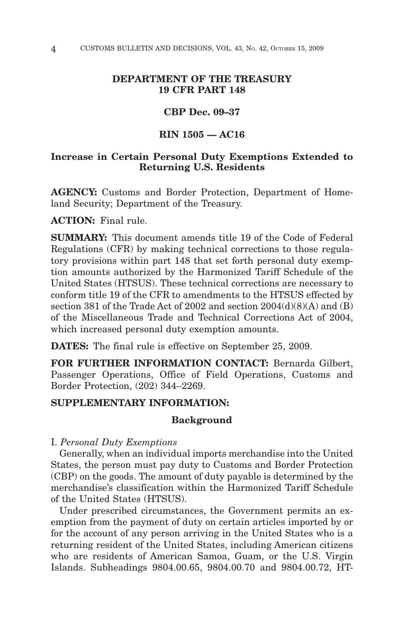# **DEPARTMENT OF THE TREASURY 19 CFR PART 148**

# **CBP Dec. 09–37**

# **RIN 1505 — AC16**

# **Increase in Certain Personal Duty Exemptions Extended to Returning U.S. Residents**

**AGENCY:** Customs and Border Protection, Department of Homeland Security; Department of the Treasury.

**ACTION:** Final rule.

**SUMMARY:** This document amends title 19 of the Code of Federal Regulations (CFR) by making technical corrections to those regulatory provisions within part 148 that set forth personal duty exemption amounts authorized by the Harmonized Tariff Schedule of the United States (HTSUS). These technical corrections are necessary to conform title 19 of the CFR to amendments to the HTSUS effected by section 381 of the Trade Act of 2002 and section 2004(d)(8)(A) and (B) of the Miscellaneous Trade and Technical Corrections Act of 2004, which increased personal duty exemption amounts.

**DATES:** The final rule is effective on September 25, 2009.

**FOR FURTHER INFORMATION CONTACT:** Bernarda Gilbert, Passenger Operations, Office of Field Operations, Customs and Border Protection, (202) 344–2269.

# **SUPPLEMENTARY INFORMATION:**

# **Background**

I. *Personal Duty Exemptions*

Generally, when an individual imports merchandise into the United States, the person must pay duty to Customs and Border Protection (CBP) on the goods. The amount of duty payable is determined by the merchandise's classification within the Harmonized Tariff Schedule of the United States (HTSUS).

Under prescribed circumstances, the Government permits an exemption from the payment of duty on certain articles imported by or for the account of any person arriving in the United States who is a returning resident of the United States, including American citizens who are residents of American Samoa, Guam, or the U.S. Virgin Islands. Subheadings 9804.00.65, 9804.00.70 and 9804.00.72, HT-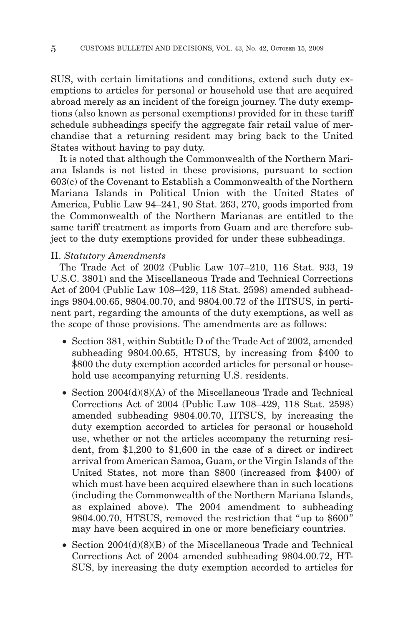SUS, with certain limitations and conditions, extend such duty exemptions to articles for personal or household use that are acquired abroad merely as an incident of the foreign journey. The duty exemptions (also known as personal exemptions) provided for in these tariff schedule subheadings specify the aggregate fair retail value of merchandise that a returning resident may bring back to the United States without having to pay duty.

It is noted that although the Commonwealth of the Northern Mariana Islands is not listed in these provisions, pursuant to section 603(c) of the Covenant to Establish a Commonwealth of the Northern Mariana Islands in Political Union with the United States of America, Public Law 94–241, 90 Stat. 263, 270, goods imported from the Commonwealth of the Northern Marianas are entitled to the same tariff treatment as imports from Guam and are therefore subject to the duty exemptions provided for under these subheadings.

#### II. *Statutory Amendments*

The Trade Act of 2002 (Public Law 107–210, 116 Stat. 933, 19 U.S.C. 3801) and the Miscellaneous Trade and Technical Corrections Act of 2004 (Public Law 108–429, 118 Stat. 2598) amended subheadings 9804.00.65, 9804.00.70, and 9804.00.72 of the HTSUS, in pertinent part, regarding the amounts of the duty exemptions, as well as the scope of those provisions. The amendments are as follows:

- Section 381, within Subtitle D of the Trade Act of 2002, amended subheading 9804.00.65, HTSUS, by increasing from \$400 to \$800 the duty exemption accorded articles for personal or household use accompanying returning U.S. residents.
- Section 2004(d)(8)(A) of the Miscellaneous Trade and Technical Corrections Act of 2004 (Public Law 108–429, 118 Stat. 2598) amended subheading 9804.00.70, HTSUS, by increasing the duty exemption accorded to articles for personal or household use, whether or not the articles accompany the returning resident, from \$1,200 to \$1,600 in the case of a direct or indirect arrival from American Samoa, Guam, or the Virgin Islands of the United States, not more than \$800 (increased from \$400) of which must have been acquired elsewhere than in such locations (including the Commonwealth of the Northern Mariana Islands, as explained above). The 2004 amendment to subheading 9804.00.70, HTSUS, removed the restriction that "up to \$600 " may have been acquired in one or more beneficiary countries.
- Section 2004(d)(8)(B) of the Miscellaneous Trade and Technical Corrections Act of 2004 amended subheading 9804.00.72, HT-SUS, by increasing the duty exemption accorded to articles for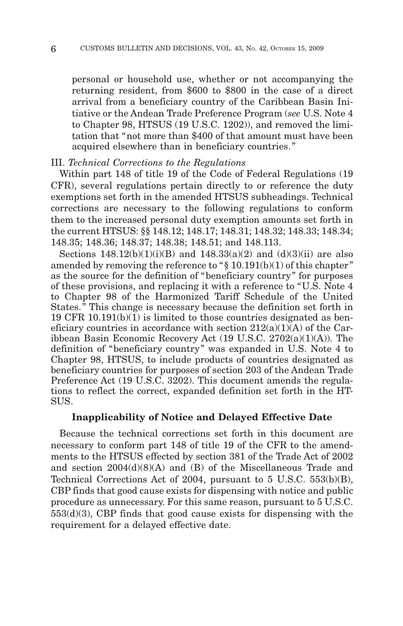personal or household use, whether or not accompanying the returning resident, from \$600 to \$800 in the case of a direct arrival from a beneficiary country of the Caribbean Basin Initiative or the Andean Trade Preference Program (*see* U.S. Note 4 to Chapter 98, HTSUS (19 U.S.C. 1202)), and removed the limitation that "not more than \$400 of that amount must have been acquired elsewhere than in beneficiary countries. "

#### III. *Technical Corrections to the Regulations*

Within part 148 of title 19 of the Code of Federal Regulations (19 CFR), several regulations pertain directly to or reference the duty exemptions set forth in the amended HTSUS subheadings. Technical corrections are necessary to the following regulations to conform them to the increased personal duty exemption amounts set forth in the current HTSUS: §§ 148.12; 148.17; 148.31; 148.32; 148.33; 148.34; 148.35; 148.36; 148.37; 148.38; 148.51; and 148.113.

Sections  $148.12(b)(1)(i)(B)$  and  $148.33(a)(2)$  and  $(d)(3)(ii)$  are also amended by removing the reference to " $\S$  10.191(b)(1) of this chapter" as the source for the definition of "beneficiary country " for purposes of these provisions, and replacing it with a reference to "U.S. Note 4 to Chapter 98 of the Harmonized Tariff Schedule of the United States. " This change is necessary because the definition set forth in 19 CFR 10.191(b)(1) is limited to those countries designated as beneficiary countries in accordance with section  $212(a)(1)(A)$  of the Caribbean Basin Economic Recovery Act (19 U.S.C. 2702(a)(1)(A)). The definition of "beneficiary country" was expanded in U.S. Note 4 to Chapter 98, HTSUS, to include products of countries designated as beneficiary countries for purposes of section 203 of the Andean Trade Preference Act (19 U.S.C. 3202). This document amends the regulations to reflect the correct, expanded definition set forth in the HT-SUS.

## **Inapplicability of Notice and Delayed Effective Date**

Because the technical corrections set forth in this document are necessary to conform part 148 of title 19 of the CFR to the amendments to the HTSUS effected by section 381 of the Trade Act of 2002 and section 2004(d)(8)(A) and (B) of the Miscellaneous Trade and Technical Corrections Act of 2004, pursuant to 5 U.S.C. 553(b)(B), CBP finds that good cause exists for dispensing with notice and public procedure as unnecessary. For this same reason, pursuant to 5 U.S.C. 553(d)(3), CBP finds that good cause exists for dispensing with the requirement for a delayed effective date.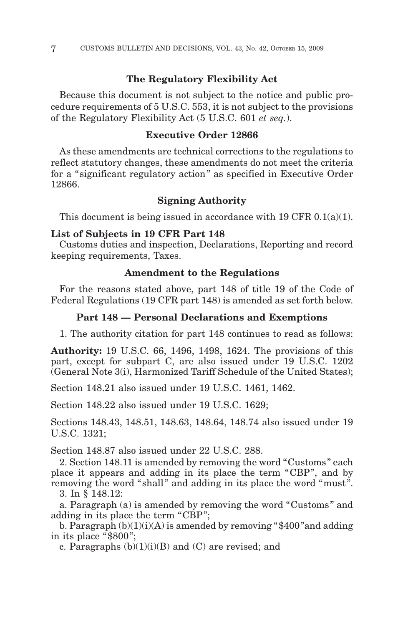# **The Regulatory Flexibility Act**

Because this document is not subject to the notice and public procedure requirements of 5 U.S.C. 553, it is not subject to the provisions of the Regulatory Flexibility Act (5 U.S.C. 601 *et seq.*).

# **Executive Order 12866**

As these amendments are technical corrections to the regulations to reflect statutory changes, these amendments do not meet the criteria for a "significant regulatory action " as specified in Executive Order 12866.

# **Signing Authority**

This document is being issued in accordance with 19 CFR  $0.1(a)(1)$ .

### **List of Subjects in 19 CFR Part 148**

Customs duties and inspection, Declarations, Reporting and record keeping requirements, Taxes.

## **Amendment to the Regulations**

For the reasons stated above, part 148 of title 19 of the Code of Federal Regulations (19 CFR part 148) is amended as set forth below.

## **Part 148 — Personal Declarations and Exemptions**

1. The authority citation for part 148 continues to read as follows:

**Authority:** 19 U.S.C. 66, 1496, 1498, 1624. The provisions of this part, except for subpart C, are also issued under 19 U.S.C. 1202 (General Note 3(i), Harmonized Tariff Schedule of the United States);

Section 148.21 also issued under 19 U.S.C. 1461, 1462.

Section 148.22 also issued under 19 U.S.C. 1629;

Sections 148.43, 148.51, 148.63, 148.64, 148.74 also issued under 19 U.S.C. 1321;

Section 148.87 also issued under 22 U.S.C. 288.

2. Section 148.11 is amended by removing the word "Customs " each place it appears and adding in its place the term "CBP ", and by removing the word "shall" and adding in its place the word "must".

3. In § 148.12:

a. Paragraph (a) is amended by removing the word "Customs " and adding in its place the term "CBP";

b. Paragraph  $(b)(1)(i)(A)$  is amended by removing "\$400" and adding in its place "\$800 ";

c. Paragraphs  $(b)(1)(i)(B)$  and  $(C)$  are revised; and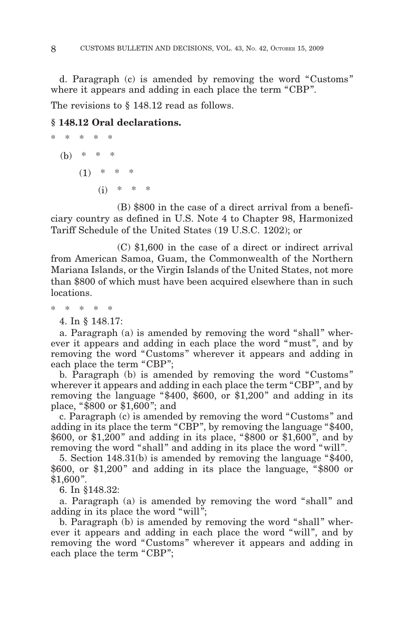d. Paragraph (c) is amended by removing the word "Customs " where it appears and adding in each place the term "CBP".

The revisions to  $\S$  148.12 read as follows.

# **§ 148.12 Oral declarations.**

$$
* * * * *\n(b) * * *\n(1) * * *\n(i) * * *\n(i) * * *\n(i) * * *
$$

(B) \$800 in the case of a direct arrival from a beneficiary country as defined in U.S. Note 4 to Chapter 98, Harmonized Tariff Schedule of the United States (19 U.S.C. 1202); or

(C) \$1,600 in the case of a direct or indirect arrival from American Samoa, Guam, the Commonwealth of the Northern Mariana Islands, or the Virgin Islands of the United States, not more than \$800 of which must have been acquired elsewhere than in such locations.

\*\*\*\*\*

4. In § 148.17:

a. Paragraph (a) is amended by removing the word "shall" wherever it appears and adding in each place the word "must ", and by removing the word "Customs" wherever it appears and adding in each place the term "CBP";

b. Paragraph (b) is amended by removing the word "Customs " wherever it appears and adding in each place the term "CBP", and by removing the language "\$400, \$600, or \$1,200" and adding in its place, "\$800 or \$1,600 "; and

c. Paragraph (c) is amended by removing the word "Customs " and adding in its place the term "CBP ", by removing the language "\$400, \$600, or \$1,200 " and adding in its place, "\$800 or \$1,600 ", and by removing the word "shall" and adding in its place the word "will".

5. Section 148.31(b) is amended by removing the language "\$400, \$600, or \$1,200" and adding in its place the language, "\$800 or  $$1,600"$ .

6. In §148.32:

a. Paragraph (a) is amended by removing the word "shall" and adding in its place the word "will";

b. Paragraph (b) is amended by removing the word "shall" wherever it appears and adding in each place the word "will", and by removing the word "Customs" wherever it appears and adding in each place the term "CBP";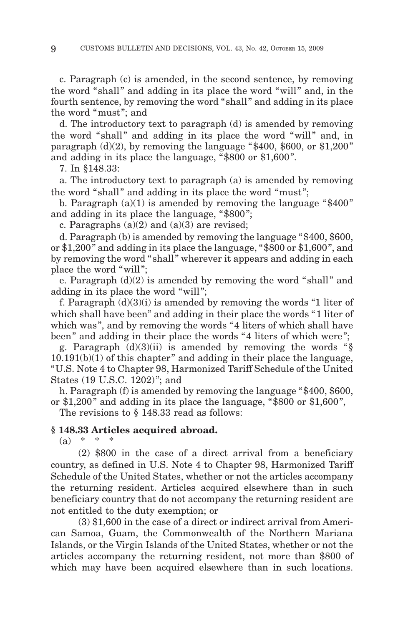c. Paragraph (c) is amended, in the second sentence, by removing the word "shall" and adding in its place the word "will" and, in the fourth sentence, by removing the word "shall " and adding in its place the word "must "; and

d. The introductory text to paragraph (d) is amended by removing the word "shall" and adding in its place the word "will" and, in paragraph  $(d)(2)$ , by removing the language "\$400, \$600, or \$1,200" and adding in its place the language, "\$800 or \$1,600 ".

7. In §148.33:

a. The introductory text to paragraph (a) is amended by removing the word "shall" and adding in its place the word "must";

b. Paragraph  $(a)(1)$  is amended by removing the language "\$400" and adding in its place the language, "\$800 ";

c. Paragraphs  $(a)(2)$  and  $(a)(3)$  are revised;

d. Paragraph (b) is amended by removing the language "\$400, \$600, or \$1,200 " and adding in its place the language, "\$800 or \$1,600 ", and by removing the word "shall" wherever it appears and adding in each place the word "will";

e. Paragraph  $(d)(2)$  is amended by removing the word "shall" and adding in its place the word "will ";

f. Paragraph  $(d)(3)(i)$  is amended by removing the words "1 liter of which shall have been" and adding in their place the words "1 liter of which was", and by removing the words "4 liters of which shall have been" and adding in their place the words "4 liters of which were";

g. Paragraph  $(d)(3)(ii)$  is amended by removing the words " $\S$  $10.191(b)(1)$  of this chapter" and adding in their place the language, "U.S. Note 4 to Chapter 98, Harmonized Tariff Schedule of the United States (19 U.S.C. 1202) "; and

h. Paragraph (f) is amended by removing the language "\$400, \$600, or  $$1,200"$  and adding in its place the language, " $$800$  or  $$1,600"$ , The revisions to  $\S$  148.33 read as follows:

**§ 148.33 Articles acquired abroad.**

 $(a) * * * *$ 

(2) \$800 in the case of a direct arrival from a beneficiary country, as defined in U.S. Note 4 to Chapter 98, Harmonized Tariff Schedule of the United States, whether or not the articles accompany the returning resident. Articles acquired elsewhere than in such beneficiary country that do not accompany the returning resident are not entitled to the duty exemption; or

(3) \$1,600 in the case of a direct or indirect arrival from American Samoa, Guam, the Commonwealth of the Northern Mariana Islands, or the Virgin Islands of the United States, whether or not the articles accompany the returning resident, not more than \$800 of which may have been acquired elsewhere than in such locations.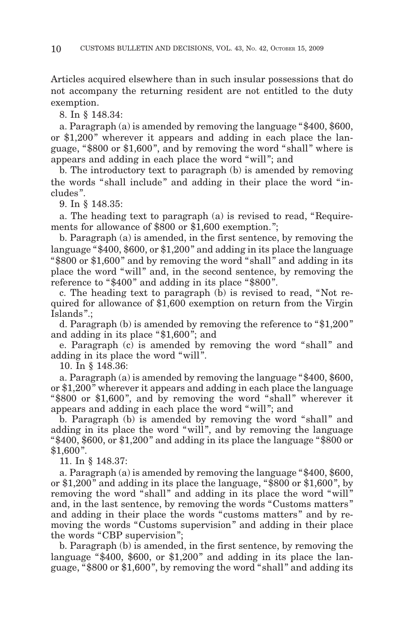Articles acquired elsewhere than in such insular possessions that do not accompany the returning resident are not entitled to the duty exemption.

8. In § 148.34:

a. Paragraph (a) is amended by removing the language "\$400, \$600, or \$1,200" wherever it appears and adding in each place the language, "\$800 or \$1,600 ", and by removing the word "shall " where is appears and adding in each place the word "will "; and

b. The introductory text to paragraph (b) is amended by removing the words "shall include" and adding in their place the word "includes ".

9. In § 148.35:

a. The heading text to paragraph (a) is revised to read, "Requirements for allowance of \$800 or \$1,600 exemption.";

b. Paragraph (a) is amended, in the first sentence, by removing the language "\$400, \$600, or \$1,200 " and adding in its place the language "\$800 or \$1,600 " and by removing the word "shall " and adding in its place the word "will" and, in the second sentence, by removing the reference to "\$400" and adding in its place "\$800".

c. The heading text to paragraph (b) is revised to read, "Not required for allowance of \$1,600 exemption on return from the Virgin Islands ".;

d. Paragraph (b) is amended by removing the reference to "\$1,200 " and adding in its place "\$1,600 "; and

e. Paragraph (c) is amended by removing the word "shall" and adding in its place the word "will".

10. In § 148.36:

a. Paragraph (a) is amended by removing the language "\$400, \$600, or \$1,200 " wherever it appears and adding in each place the language "\$800 or \$1,600", and by removing the word "shall" wherever it appears and adding in each place the word "will "; and

b. Paragraph (b) is amended by removing the word "shall" and adding in its place the word "will", and by removing the language "\$400, \$600, or \$1,200" and adding in its place the language "\$800 or  $$1,600"$ .

11. In § 148.37:

a. Paragraph (a) is amended by removing the language "\$400, \$600, or  $$1,200"$  and adding in its place the language, " $$800$  or  $$1,600"$ , by removing the word "shall" and adding in its place the word "will" and, in the last sentence, by removing the words "Customs matters " and adding in their place the words "customs matters " and by removing the words "Customs supervision" and adding in their place the words "CBP supervision ";

b. Paragraph (b) is amended, in the first sentence, by removing the language " $$400, $600, or $1,200"$  and adding in its place the language, "\$800 or \$1,600 ", by removing the word "shall " and adding its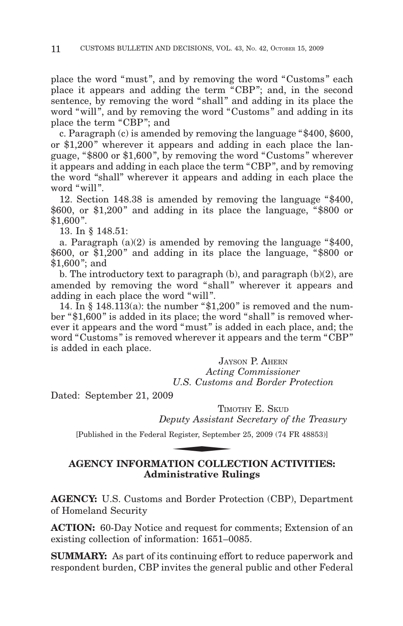place the word "must", and by removing the word "Customs" each place it appears and adding the term "CBP "; and, in the second sentence, by removing the word "shall" and adding in its place the word "will", and by removing the word "Customs" and adding in its place the term "CBP"; and

c. Paragraph (c) is amended by removing the language "\$400, \$600, or \$1,200" wherever it appears and adding in each place the language, "\$800 or \$1,600 ", by removing the word "Customs " wherever it appears and adding in each place the term "CBP ", and by removing the word "shall" wherever it appears and adding in each place the word "will".

12. Section 148.38 is amended by removing the language "\$400,  $$600$ , or  $$1,200"$  and adding in its place the language, " $$800$  or  $$1,600"$ .

13. In § 148.51:

a. Paragraph  $(a)(2)$  is amended by removing the language "\$400,  $$600$ , or  $$1,200"$  and adding in its place the language, " $$800$  or \$1,600 "; and

b. The introductory text to paragraph (b), and paragraph (b)(2), are amended by removing the word "shall" wherever it appears and adding in each place the word "will ".

14. In  $\S$  148.113(a): the number " $\S$ 1,200" is removed and the number "\$1,600 " is added in its place; the word "shall " is removed wherever it appears and the word "must" is added in each place, and; the word "Customs " is removed wherever it appears and the term "CBP " is added in each place.

> JAYSON P. AHERN *Acting Commissioner U.S. Customs and Border Protection*

Dated: September 21, 2009

TIMOTHY E. SKUD *Deputy Assistant Secretary of the Treasury* U.S. Customs<br>
P<br>
TIMe<br>
puty Assistant<br>
Register, Septemb<br>
TION COLLE

[Published in the Federal Register, September 25, 2009 (74 FR 48853)]

# **AGENCY INFORMATION COLLECTION ACTIVITIES: Administrative Rulings**

**AGENCY:** U.S. Customs and Border Protection (CBP), Department of Homeland Security

**ACTION:** 60-Day Notice and request for comments; Extension of an existing collection of information: 1651–0085.

**SUMMARY:** As part of its continuing effort to reduce paperwork and respondent burden, CBP invites the general public and other Federal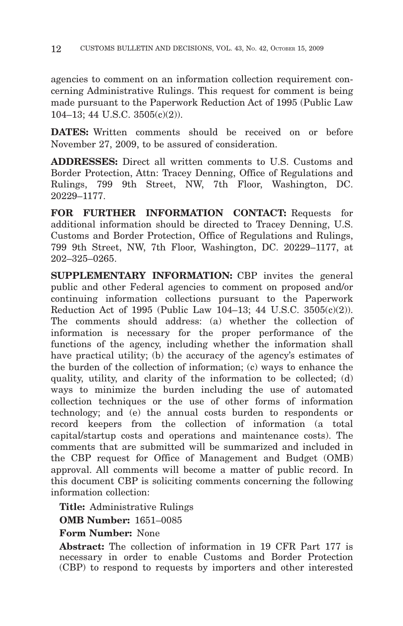agencies to comment on an information collection requirement concerning Administrative Rulings. This request for comment is being made pursuant to the Paperwork Reduction Act of 1995 (Public Law 104–13; 44 U.S.C. 3505(c)(2)).

**DATES:** Written comments should be received on or before November 27, 2009, to be assured of consideration.

**ADDRESSES:** Direct all written comments to U.S. Customs and Border Protection, Attn: Tracey Denning, Office of Regulations and Rulings, 799 9th Street, NW, 7th Floor, Washington, DC. 20229–1177.

**FOR FURTHER INFORMATION CONTACT:** Requests for additional information should be directed to Tracey Denning, U.S. Customs and Border Protection, Office of Regulations and Rulings, 799 9th Street, NW, 7th Floor, Washington, DC. 20229–1177, at 202–325–0265.

**SUPPLEMENTARY INFORMATION:** CBP invites the general public and other Federal agencies to comment on proposed and/or continuing information collections pursuant to the Paperwork Reduction Act of 1995 (Public Law 104–13; 44 U.S.C. 3505(c)(2)). The comments should address: (a) whether the collection of information is necessary for the proper performance of the functions of the agency, including whether the information shall have practical utility; (b) the accuracy of the agency's estimates of the burden of the collection of information; (c) ways to enhance the quality, utility, and clarity of the information to be collected; (d) ways to minimize the burden including the use of automated collection techniques or the use of other forms of information technology; and (e) the annual costs burden to respondents or record keepers from the collection of information (a total capital/startup costs and operations and maintenance costs). The comments that are submitted will be summarized and included in the CBP request for Office of Management and Budget (OMB) approval. All comments will become a matter of public record. In this document CBP is soliciting comments concerning the following information collection:

**Title:** Administrative Rulings

**OMB Number:** 1651–0085

**Form Number:** None

**Abstract:** The collection of information in 19 CFR Part 177 is necessary in order to enable Customs and Border Protection (CBP) to respond to requests by importers and other interested